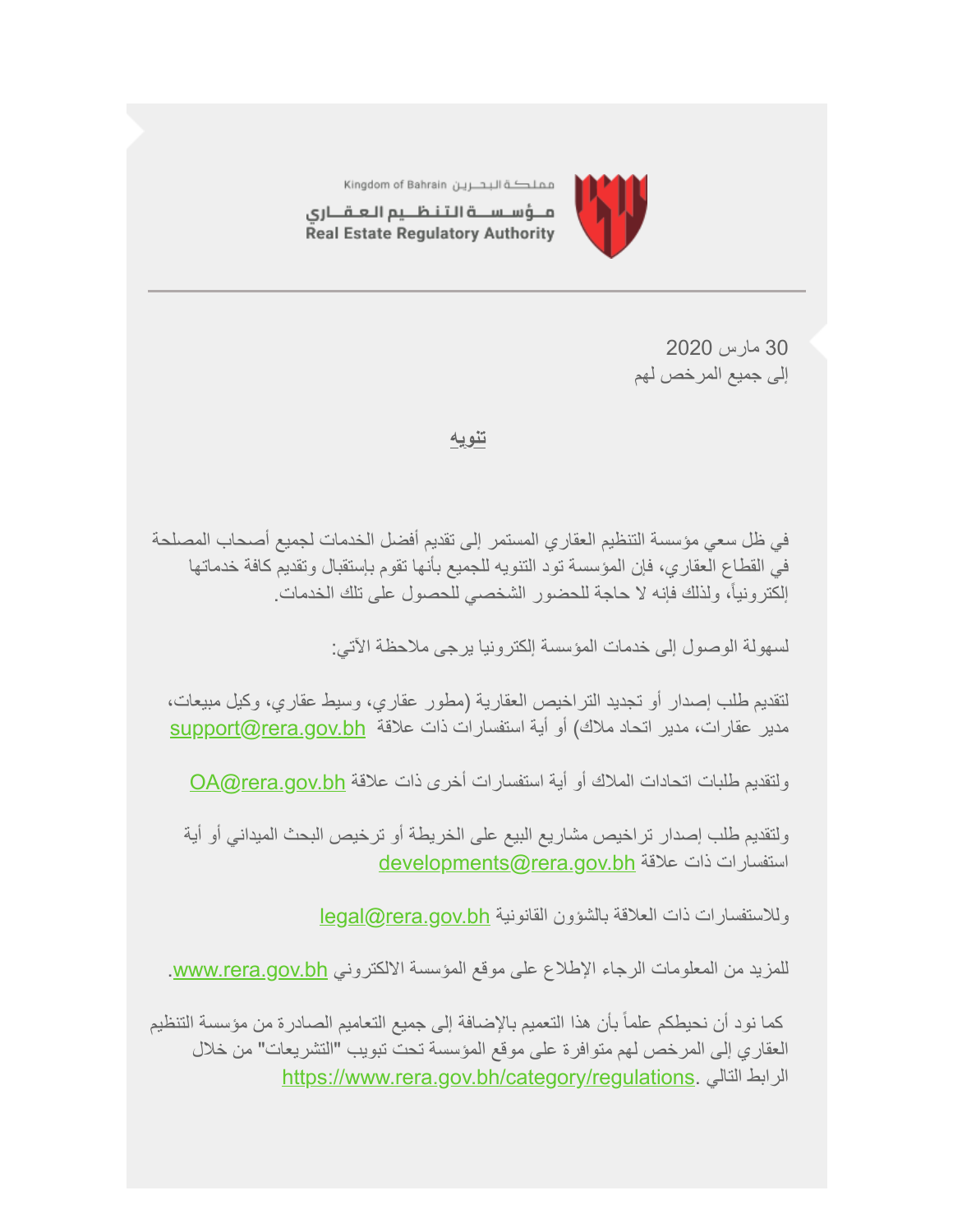

مملكة البحرين Kingdom of Bahrain

مــؤسـســة الـتـنـظــيم الـعـقـــارى Real Estate Regulatory Authority

> 30 مارس 2020 إلى جمیع المرخص لھم

# **تنویھ**

في ظل سعي مؤسسة التنظیم العقاري المستمر إلى تقدیم أفضل الخدمات لجمیع أصحاب المصلحة في القطاع العقاري، فإن المؤسسة تود التنویھ للجمیع بأنھا تقوم بإستقبال وتقدیم كافة خدماتھا إلكترونیا،ً ولذلك فإنھ لا حاجة للحضور الشخصي للحصول على تلك الخدمات.

لسھولة الوصول إلى خدمات المؤسسة إلكترونیا یرجى ملاحظة الآتي:

لتقدیم طلب إصدار أو تجدید التراخیص العقاریة (مطور عقاري، وسیط عقاري، وكیل مبیعات، مدیر عقارات، مدیر اتحاد ملاك) أو أية استفسارات ذات علاقة support@rera.gov.bh

ولتقدیم طلبات اتحادات الملاك أو أیة استفسارات أخرى ذات علاقة OA@rera.gov.bh

ولتقدیم طلب إصدار تراخیص مشاریع البیع على الخریطة أو ترخیص البحث المیداني أو أیة [developments@rera.gov.bh](mailto:developments@rera.gov.bh) استفسارات ذات علاقة

وللاستفسارات ذات العلاقة بالشؤون القانونية legal@rera.gov.bh

للمزيد من المعلومات الرجاء الإطلاع على موقع المؤسسة الالكتروني www.rera.gov.bh.

 كما نود أن نحیطكم علماً بأن ھذا التعمیم بالإضافة إلى جمیع التعامیم الصادرة من مؤسسة التنظیم العقاري إلى المرخص لھم متوافرة على موقع المؤسسة تحت تبویب "التشریعات" من خلال [https://www.rera.gov.bh/category/regulations.](https://www.rera.gov.bh/category/regulations) التالي الرابط